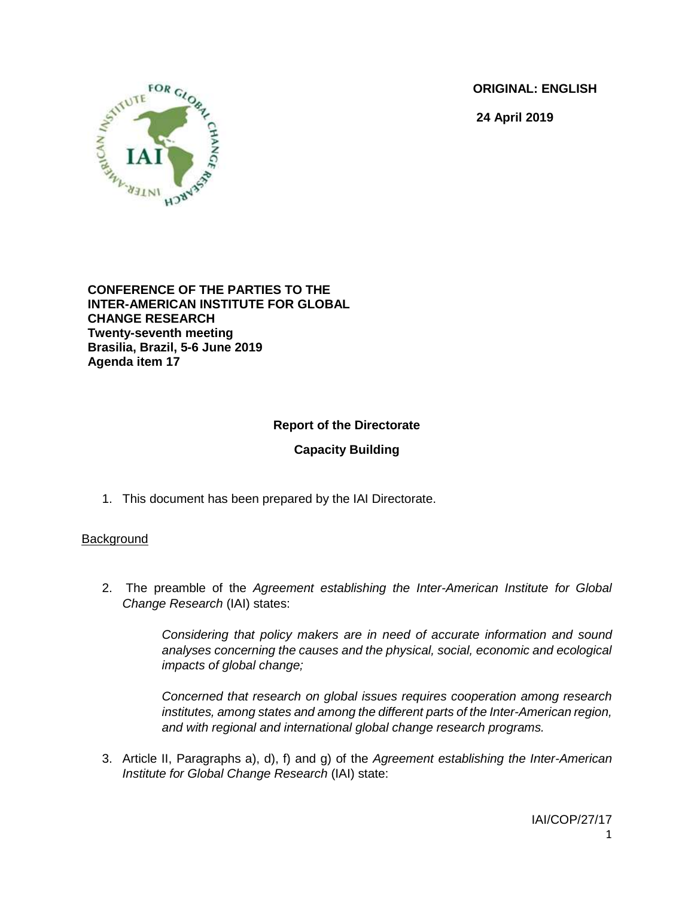**ORIGINAL: ENGLISH**

**24 April 2019**



#### **CONFERENCE OF THE PARTIES TO THE INTER-AMERICAN INSTITUTE FOR GLOBAL CHANGE RESEARCH Twenty-seventh meeting Brasilia, Brazil, 5-6 June 2019 Agenda item 17**

# **Report of the Directorate**

# **Capacity Building**

1. This document has been prepared by the IAI Directorate.

## **Background**

2. The preamble of the *Agreement establishing the Inter-American Institute for Global Change Research* (IAI) states:

> *Considering that policy makers are in need of accurate information and sound analyses concerning the causes and the physical, social, economic and ecological impacts of global change;*

> *Concerned that research on global issues requires cooperation among research institutes, among states and among the different parts of the Inter-American region, and with regional and international global change research programs.*

3. Article II, Paragraphs a), d), f) and g) of the *Agreement establishing the Inter-American Institute for Global Change Research* (IAI) state: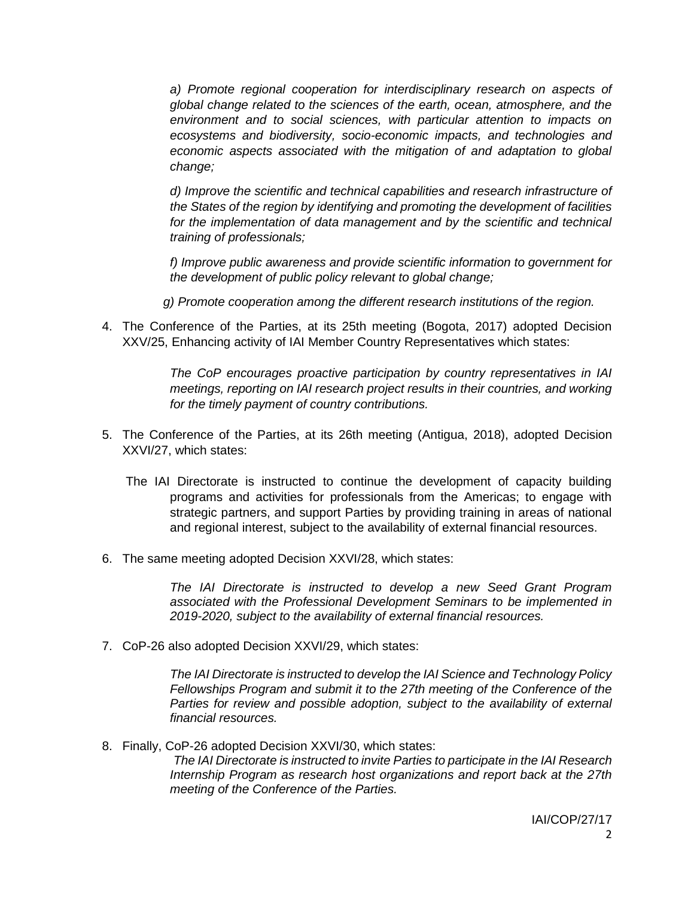a) Promote regional cooperation for interdisciplinary research on aspects of *global change related to the sciences of the earth, ocean, atmosphere, and the environment and to social sciences, with particular attention to impacts on ecosystems and biodiversity, socio-economic impacts, and technologies and economic aspects associated with the mitigation of and adaptation to global change;*

*d) Improve the scientific and technical capabilities and research infrastructure of the States of the region by identifying and promoting the development of facilities*  for the *implementation of data management and by the scientific and technical training of professionals;*

*f) Improve public awareness and provide scientific information to government for the development of public policy relevant to global change;*

*g) Promote cooperation among the different research institutions of the region.*

4. The Conference of the Parties, at its 25th meeting (Bogota, 2017) adopted Decision XXV/25, Enhancing activity of IAI Member Country Representatives which states:

> *The CoP encourages proactive participation by country representatives in IAI meetings, reporting on IAI research project results in their countries, and working for the timely payment of country contributions.*

- 5. The Conference of the Parties, at its 26th meeting (Antigua, 2018), adopted Decision XXVI/27, which states:
	- The IAI Directorate is instructed to continue the development of capacity building programs and activities for professionals from the Americas; to engage with strategic partners, and support Parties by providing training in areas of national and regional interest, subject to the availability of external financial resources.
- 6. The same meeting adopted Decision XXVI/28, which states:

*The IAI Directorate is instructed to develop a new Seed Grant Program associated with the Professional Development Seminars to be implemented in 2019-2020, subject to the availability of external financial resources.*

7. CoP-26 also adopted Decision XXVI/29, which states:

*The IAI Directorate is instructed to develop the IAI Science and Technology Policy Fellowships Program and submit it to the 27th meeting of the Conference of the Parties for review and possible adoption, subject to the availability of external financial resources.*

8. Finally, CoP-26 adopted Decision XXVI/30, which states: *The IAI Directorate is instructed to invite Parties to participate in the IAI Research Internship Program as research host organizations and report back at the 27th meeting of the Conference of the Parties.*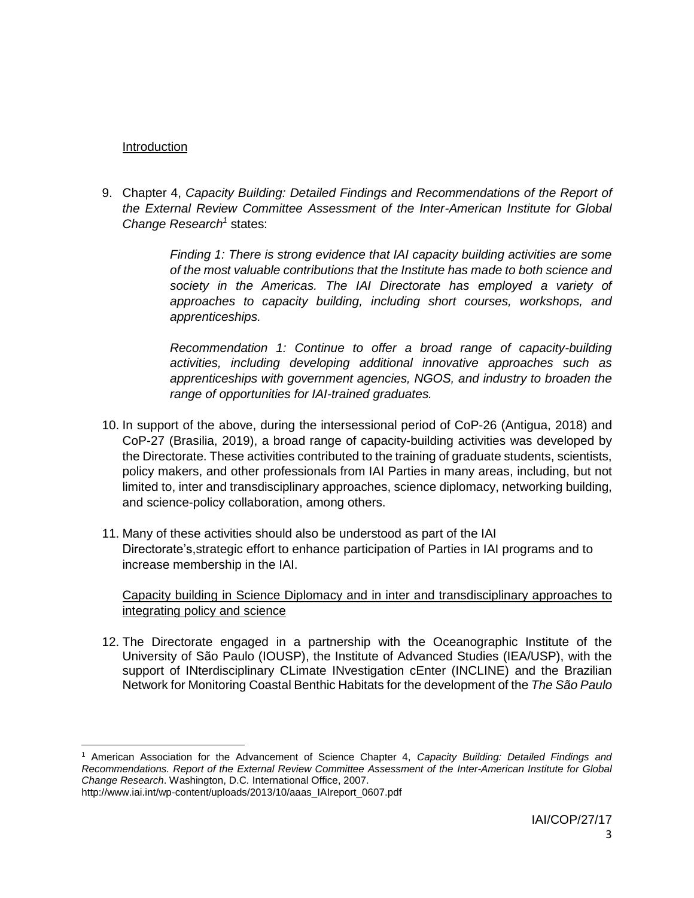## Introduction

 $\overline{a}$ 

9. Chapter 4, *Capacity Building: Detailed Findings and Recommendations of the Report of the External Review Committee Assessment of the Inter-American Institute for Global Change Research<sup>1</sup>* states:

> *Finding 1: There is strong evidence that IAI capacity building activities are some of the most valuable contributions that the Institute has made to both science and society in the Americas. The IAI Directorate has employed a variety of approaches to capacity building, including short courses, workshops, and apprenticeships.*

> *Recommendation 1: Continue to offer a broad range of capacity-building activities, including developing additional innovative approaches such as apprenticeships with government agencies, NGOS, and industry to broaden the range of opportunities for IAI-trained graduates.*

- 10. In support of the above, during the intersessional period of CoP-26 (Antigua, 2018) and CoP-27 (Brasilia, 2019), a broad range of capacity-building activities was developed by the Directorate. These activities contributed to the training of graduate students, scientists, policy makers, and other professionals from IAI Parties in many areas, including, but not limited to, inter and transdisciplinary approaches, science diplomacy, networking building, and science-policy collaboration, among others.
- 11. Many of these activities should also be understood as part of the IAI Directorate's,strategic effort to enhance participation of Parties in IAI programs and to increase membership in the IAI.

Capacity building in Science Diplomacy and in inter and transdisciplinary approaches to integrating policy and science

12. The Directorate engaged in a partnership with the Oceanographic Institute of the University of São Paulo (IOUSP), the Institute of Advanced Studies (IEA/USP), with the support of INterdisciplinary CLimate INvestigation cEnter (INCLINE) and the Brazilian Network for Monitoring Coastal Benthic Habitats for the development of the *The São Paulo* 

<sup>1</sup> American Association for the Advancement of Science Chapter 4, *Capacity Building: Detailed Findings and Recommendations. Report of the External Review Committee Assessment of the Inter-American Institute for Global Change Research*. Washington, D.C*.* International Office, 2007. http://www.iai.int/wp-content/uploads/2013/10/aaas\_IAIreport\_0607.pdf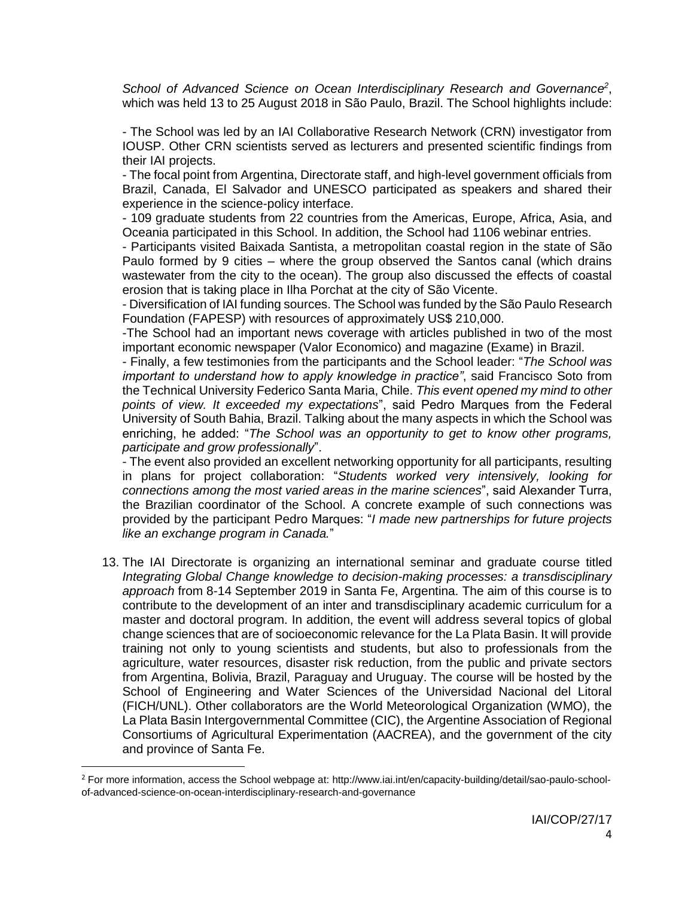School of Advanced Science on Ocean Interdisciplinary Research and Governance<sup>2</sup>, which was held 13 to 25 August 2018 in São Paulo, Brazil. The School highlights include:

- The School was led by an IAI Collaborative Research Network (CRN) investigator from IOUSP. Other CRN scientists served as lecturers and presented scientific findings from their IAI projects.

- The focal point from Argentina, Directorate staff, and high-level government officials from Brazil, Canada, El Salvador and UNESCO participated as speakers and shared their experience in the science-policy interface.

- 109 graduate students from 22 countries from the Americas, Europe, Africa, Asia, and Oceania participated in this School. In addition, the School had 1106 webinar entries.

- Participants visited Baixada Santista, a metropolitan coastal region in the state of São Paulo formed by 9 cities – where the group observed the Santos canal (which drains wastewater from the city to the ocean). The group also discussed the effects of coastal erosion that is taking place in Ilha Porchat at the city of São Vicente.

- Diversification of IAI funding sources. The School was funded by th[e São Paulo Research](http://www.fapesp.br/en/)  [Foundation \(FAPESP\)](http://www.fapesp.br/en/) with resources of approximately US\$ 210,000.

-The School had an important news coverage with articles published in two of the most important economic newspaper (Valor Economico) and magazine (Exame) in Brazil.

- Finally, a few testimonies from the participants and the School leader: "*The School was important to understand how to apply knowledge in practice"*, said Francisco Soto from the Technical University Federico Santa Maria, Chile. *This event opened my mind to other points of view. It exceeded my expectations*", said Pedro Marques from the Federal University of South Bahia, Brazil. Talking about the many aspects in which the School was enriching, he added: "*The School was an opportunity to get to know other programs, participate and grow professionally*".

- The event also provided an excellent networking opportunity for all participants, resulting in plans for project collaboration: "*Students worked very intensively, looking for connections among the most varied areas in the marine sciences*", said Alexander Turra, the Brazilian coordinator of the School. A concrete example of such connections was provided by the participant Pedro Marques: "*I made new partnerships for future projects like an exchange program in Canada.*"

13. The IAI Directorate is organizing an international seminar and graduate course titled *Integrating Global Change knowledge to decision-making processes: a transdisciplinary approach* from 8-14 September 2019 in Santa Fe, Argentina. The aim of this course is to contribute to the development of an inter and transdisciplinary academic curriculum for a master and doctoral program. In addition, the event will address several topics of global change sciences that are of socioeconomic relevance for the La Plata Basin. It will provide training not only to young scientists and students, but also to professionals from the agriculture, water resources, disaster risk reduction, from the public and private sectors from Argentina, Bolivia, Brazil, Paraguay and Uruguay. The course will be hosted by the School of Engineering and Water Sciences of the Universidad Nacional del Litoral (FICH/UNL). Other collaborators are the World Meteorological Organization (WMO), the La Plata Basin Intergovernmental Committee (CIC), the Argentine Association of Regional Consortiums of Agricultural Experimentation (AACREA), and the government of the city and province of Santa Fe.

l

<sup>2</sup> For more information, access the School webpage at: http://www.iai.int/en/capacity-building/detail/sao-paulo-schoolof-advanced-science-on-ocean-interdisciplinary-research-and-governance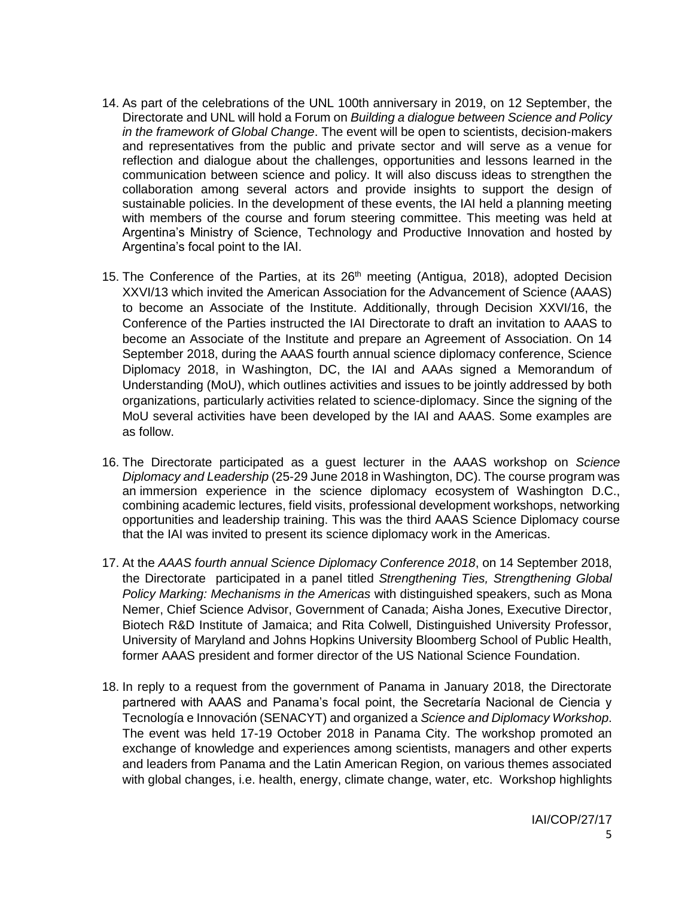- 14. As part of the celebrations of the UNL 100th anniversary in 2019, on 12 September, the Directorate and UNL will hold a Forum on *Building a dialogue between Science and Policy in the framework of Global Change*. The event will be open to scientists, decision-makers and representatives from the public and private sector and will serve as a venue for reflection and dialogue about the challenges, opportunities and lessons learned in the communication between science and policy. It will also discuss ideas to strengthen the collaboration among several actors and provide insights to support the design of sustainable policies. In the development of these events, the IAI held a planning meeting with members of the course and forum steering committee. This meeting was held at Argentina's Ministry of Science, Technology and Productive Innovation and hosted by Argentina's focal point to the IAI.
- 15. The Conference of the Parties, at its 26<sup>th</sup> meeting (Antigua, 2018), adopted Decision XXVI/13 which invited the American Association for the Advancement of Science (AAAS) to become an Associate of the Institute. Additionally, through Decision XXVI/16, the Conference of the Parties instructed the IAI Directorate to draft an invitation to AAAS to become an Associate of the Institute and prepare an Agreement of Association. On 14 September 2018, during the AAAS fourth annual science diplomacy conference, Science Diplomacy 2018, in Washington, DC, the IAI and AAAs signed a Memorandum of Understanding (MoU), which outlines activities and issues to be jointly addressed by both organizations, particularly activities related to science-diplomacy. Since the signing of the MoU several activities have been developed by the IAI and AAAS. Some examples are as follow.
- 16. The Directorate participated as a guest lecturer in the AAAS workshop on *Science Diplomacy and Leadership* (25-29 June 2018 in Washington, DC). The course program was an immersion experience in the science diplomacy ecosystem of Washington D.C., combining academic lectures, field visits, professional development workshops, networking opportunities and leadership training. This was the third AAAS Science Diplomacy course that the IAI was invited to present its science diplomacy work in the Americas.
- 17. At the *AAAS fourth annual Science Diplomacy Conference 2018*, on 14 September 2018, the Directorate participated in a panel titled *Strengthening Ties, Strengthening Global Policy Marking: Mechanisms in the Americas* with distinguished speakers, such as Mona Nemer, Chief Science Advisor, Government of Canada; Aisha Jones, Executive Director, Biotech R&D Institute of Jamaica; and Rita Colwell, Distinguished University Professor, University of Maryland and Johns Hopkins University Bloomberg School of Public Health, former AAAS president and former director of the US National Science Foundation.
- 18. In reply to a request from the government of Panama in January 2018, the Directorate partnered with AAAS and Panama's focal point, the Secretaría Nacional de Ciencia y Tecnología e Innovación (SENACYT) and organized a *Science and Diplomacy Workshop*. The event was held 17-19 October 2018 in Panama City. The workshop promoted an exchange of knowledge and experiences among scientists, managers and other experts and leaders from Panama and the Latin American Region, on various themes associated with global changes, i.e. health, energy, climate change, water, etc. Workshop highlights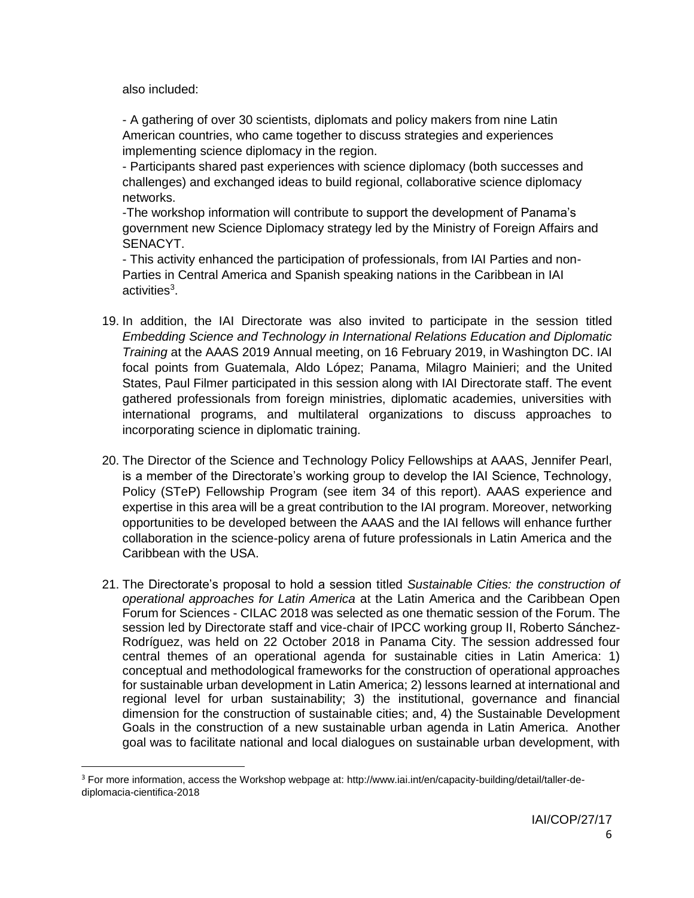also included:

l

- A gathering of over 30 scientists, diplomats and policy makers from nine Latin American countries, who came together to discuss strategies and experiences implementing science diplomacy in the region.

- Participants shared past experiences with science diplomacy (both successes and challenges) and exchanged ideas to build regional, collaborative science diplomacy networks.

-The workshop information will contribute to support the development of Panama's government new Science Diplomacy strategy led by the Ministry of Foreign Affairs and SENACYT.

- This activity enhanced the participation of professionals, from IAI Parties and non-Parties in Central America and Spanish speaking nations in the Caribbean in IAI activities<sup>3</sup>.

- 19. In addition, the IAI Directorate was also invited to participate in the session titled *Embedding Science and Technology in International Relations Education and Diplomatic Training* at the AAAS 2019 Annual meeting, on 16 February 2019, in Washington DC. IAI focal points from Guatemala, Aldo López; Panama, Milagro Mainieri; and the United States, Paul Filmer participated in this session along with IAI Directorate staff. The event gathered professionals from foreign ministries, diplomatic academies, universities with international programs, and multilateral organizations to discuss approaches to incorporating science in diplomatic training.
- 20. The Director of the Science and Technology Policy Fellowships at AAAS, Jennifer Pearl, is a member of the Directorate's working group to develop the IAI Science, Technology, Policy (STeP) Fellowship Program (see item 34 of this report). AAAS experience and expertise in this area will be a great contribution to the IAI program. Moreover, networking opportunities to be developed between the AAAS and the IAI fellows will enhance further collaboration in the science-policy arena of future professionals in Latin America and the Caribbean with the USA.
- 21. The Directorate's proposal to hold a session titled *Sustainable Cities: the construction of operational approaches for Latin America* at the Latin America and the Caribbean Open Forum for Sciences - CILAC 2018 was selected as one thematic session of the Forum. The session led by Directorate staff and vice-chair of IPCC working group II, Roberto Sánchez-Rodríguez, was held on 22 October 2018 in Panama City. The session addressed four central themes of an operational agenda for sustainable cities in Latin America: 1) conceptual and methodological frameworks for the construction of operational approaches for sustainable urban development in Latin America; 2) lessons learned at international and regional level for urban sustainability; 3) the institutional, governance and financial dimension for the construction of sustainable cities; and, 4) the Sustainable Development Goals in the construction of a new sustainable urban agenda in Latin America. Another goal was to facilitate national and local dialogues on sustainable urban development, with

<sup>&</sup>lt;sup>3</sup> For more information, access the Workshop webpage at: http://www.iai.int/en/capacity-building/detail/taller-dediplomacia-cientifica-2018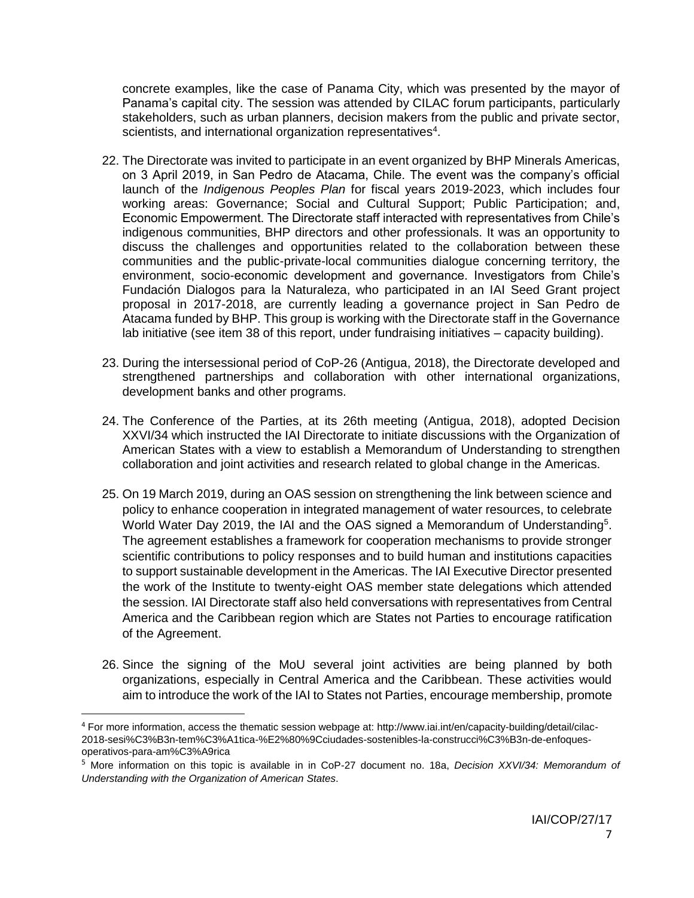concrete examples, like the case of Panama City, which was presented by the mayor of Panama's capital city. The session was attended by CILAC forum participants, particularly stakeholders, such as urban planners, decision makers from the public and private sector, scientists, and international organization representatives<sup>4</sup>.

- 22. The Directorate was invited to participate in an event organized by BHP Minerals Americas, on 3 April 2019, in San Pedro de Atacama, Chile. The event was the company's official launch of the *Indigenous Peoples Plan* for fiscal years 2019-2023, which includes four working areas: Governance; Social and Cultural Support; Public Participation; and, Economic Empowerment. The Directorate staff interacted with representatives from Chile's indigenous communities, BHP directors and other professionals. It was an opportunity to discuss the challenges and opportunities related to the collaboration between these communities and the public-private-local communities dialogue concerning territory, the environment, socio-economic development and governance. Investigators from Chile's Fundación Dialogos para la Naturaleza, who participated in an IAI Seed Grant project proposal in 2017-2018, are currently leading a governance project in San Pedro de Atacama funded by BHP. This group is working with the Directorate staff in the Governance lab initiative (see item 38 of this report, under fundraising initiatives – capacity building).
- 23. During the intersessional period of CoP-26 (Antigua, 2018), the Directorate developed and strengthened partnerships and collaboration with other international organizations, development banks and other programs.
- 24. The Conference of the Parties, at its 26th meeting (Antigua, 2018), adopted Decision XXVI/34 which instructed the IAI Directorate to initiate discussions with the Organization of American States with a view to establish a Memorandum of Understanding to strengthen collaboration and joint activities and research related to global change in the Americas.
- 25. On 19 March 2019, during an OAS session on strengthening the link between science and policy to enhance cooperation in integrated management of water resources, to celebrate World Water Day 2019, the IAI and the OAS signed a Memorandum of Understanding<sup>5</sup>. The agreement establishes a framework for cooperation mechanisms to provide stronger scientific contributions to policy responses and to build human and institutions capacities to support sustainable development in the Americas. The IAI Executive Director presented the work of the Institute to twenty-eight OAS member state delegations which attended the session. IAI Directorate staff also held conversations with representatives from Central America and the Caribbean region which are States not Parties to encourage ratification of the Agreement.
- 26. Since the signing of the MoU several joint activities are being planned by both organizations, especially in Central America and the Caribbean. These activities would aim to introduce the work of the IAI to States not Parties, encourage membership, promote

 $\overline{\phantom{a}}$ 

<sup>4</sup> For more information, access the thematic session webpage at: http://www.iai.int/en/capacity-building/detail/cilac-2018-sesi%C3%B3n-tem%C3%A1tica-%E2%80%9Cciudades-sostenibles-la-construcci%C3%B3n-de-enfoquesoperativos-para-am%C3%A9rica

<sup>5</sup> More information on this topic is available in in CoP-27 document no. 18a, *Decision XXVI/34: Memorandum of Understanding with the Organization of American States*.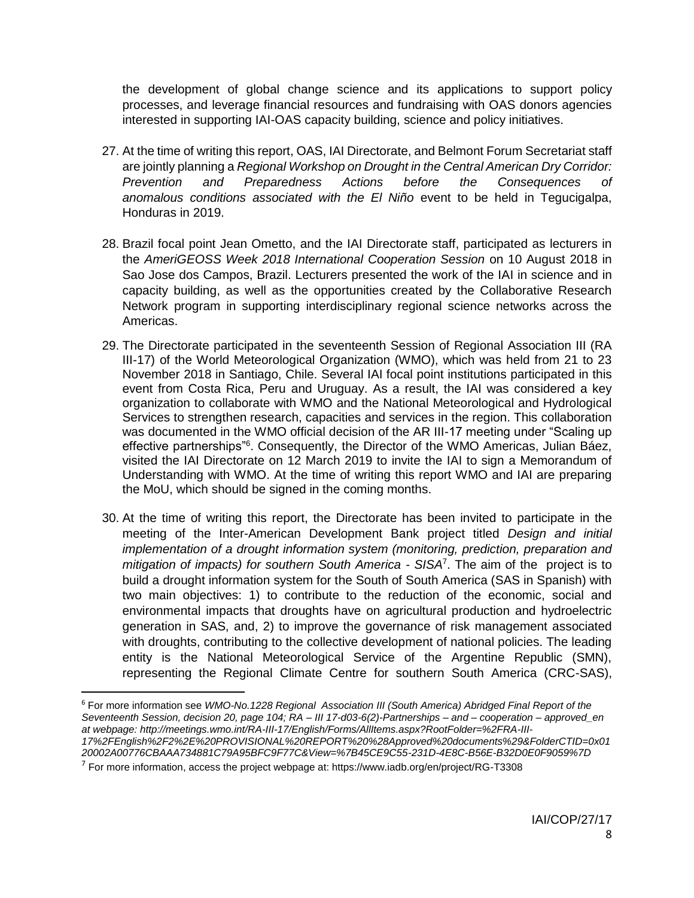the development of global change science and its applications to support policy processes, and leverage financial resources and fundraising with OAS donors agencies interested in supporting IAI-OAS capacity building, science and policy initiatives.

- 27. At the time of writing this report, OAS, IAI Directorate, and Belmont Forum Secretariat staff are jointly planning a *Regional Workshop on Drought in the Central American Dry Corridor: Prevention and Preparedness Actions before the Consequences of anomalous conditions associated with the El Niño* event to be held in Tegucigalpa, Honduras in 2019.
- 28. Brazil focal point Jean Ometto, and the IAI Directorate staff, participated as lecturers in the *AmeriGEOSS Week 2018 International Cooperation Session* on 10 August 2018 in Sao Jose dos Campos, Brazil. Lecturers presented the work of the IAI in science and in capacity building, as well as the opportunities created by the Collaborative Research Network program in supporting interdisciplinary regional science networks across the Americas.
- 29. The Directorate participated in the seventeenth Session of Regional Association III (RA III-17) of the World Meteorological Organization (WMO), which was held from 21 to 23 November 2018 in Santiago, Chile. Several IAI focal point institutions participated in this event from Costa Rica, Peru and Uruguay. As a result, the IAI was considered a key organization to collaborate with WMO and the National Meteorological and Hydrological Services to strengthen research, capacities and services in the region. This collaboration was documented in the WMO official decision of the AR III-17 meeting under "Scaling up effective partnerships"<sup>6</sup>. Consequently, the Director of the WMO Americas, Julian Báez, visited the IAI Directorate on 12 March 2019 to invite the IAI to sign a Memorandum of Understanding with WMO. At the time of writing this report WMO and IAI are preparing the MoU, which should be signed in the coming months.
- 30. At the time of writing this report, the Directorate has been invited to participate in the meeting of the Inter-American Development Bank project titled *Design and initial implementation of a drought information system (monitoring, prediction, preparation and mitigation of impacts) for southern South America - SISA*<sup>7</sup> . The aim of the project is to build a drought information system for the South of South America (SAS in Spanish) with two main objectives: 1) to contribute to the reduction of the economic, social and environmental impacts that droughts have on agricultural production and hydroelectric generation in SAS, and, 2) to improve the governance of risk management associated with droughts, contributing to the collective development of national policies. The leading entity is the National Meteorological Service of the Argentine Republic (SMN), representing the Regional Climate Centre for southern South America (CRC-SAS),

 $\overline{a}$ 

<sup>6</sup> For more information see *WMO-No.1228 Regional Association III (South America) Abridged Final Report of the Seventeenth Session, decision 20, page 104; RA – III 17-d03-6(2)-Partnerships – and – cooperation – approved\_en at webpage[: http://meetings.wmo.int/RA-III-17/English/Forms/AllItems.aspx?RootFolder=%2FRA-III-](http://meetings.wmo.int/RA-III-17/English/Forms/AllItems.aspx?RootFolder=%2FRA-III-17%2FEnglish%2F2%2E%20PROVISIONAL%20REPORT%20%28Approved%20documents%29&FolderCTID=0x0120002A00776CBAAA734881C79A95BFC9F77C&View=%7B45CE9C55-231D-4E8C-B56E-B32D0E0F9059%7D)[17%2FEnglish%2F2%2E%20PROVISIONAL%20REPORT%20%28Approved%20documents%29&FolderCTID=0x01](http://meetings.wmo.int/RA-III-17/English/Forms/AllItems.aspx?RootFolder=%2FRA-III-17%2FEnglish%2F2%2E%20PROVISIONAL%20REPORT%20%28Approved%20documents%29&FolderCTID=0x0120002A00776CBAAA734881C79A95BFC9F77C&View=%7B45CE9C55-231D-4E8C-B56E-B32D0E0F9059%7D) [20002A00776CBAAA734881C79A95BFC9F77C&View=%7B45CE9C55-231D-4E8C-B56E-B32D0E0F9059%7D](http://meetings.wmo.int/RA-III-17/English/Forms/AllItems.aspx?RootFolder=%2FRA-III-17%2FEnglish%2F2%2E%20PROVISIONAL%20REPORT%20%28Approved%20documents%29&FolderCTID=0x0120002A00776CBAAA734881C79A95BFC9F77C&View=%7B45CE9C55-231D-4E8C-B56E-B32D0E0F9059%7D)*

 $7$  For more information, access the project webpage at: https://www.iadb.org/en/project/RG-T3308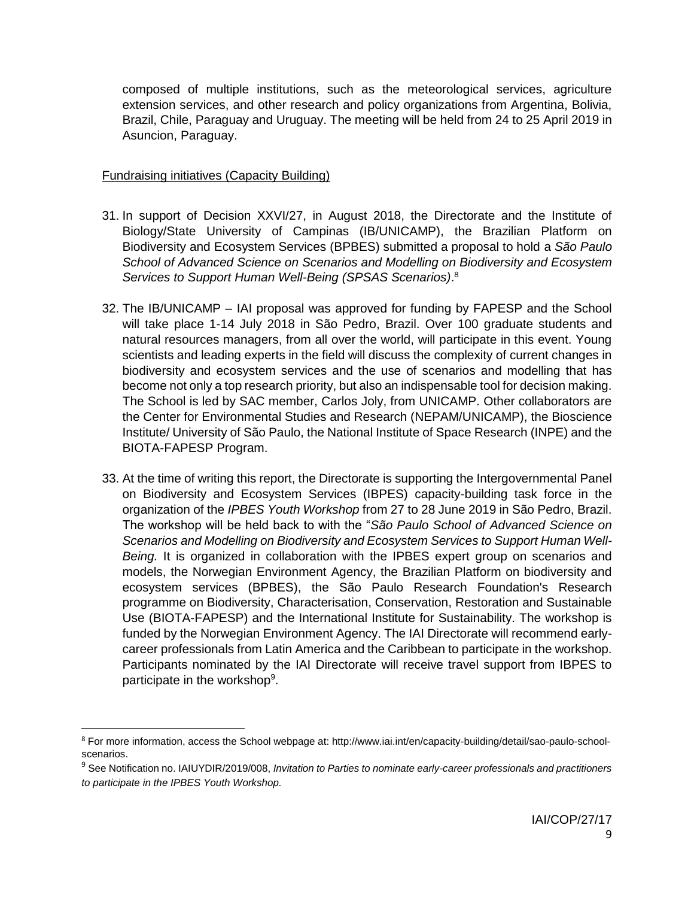composed of multiple institutions, such as the meteorological services, agriculture extension services, and other research and policy organizations from Argentina, Bolivia, Brazil, Chile, Paraguay and Uruguay. The meeting will be held from 24 to 25 April 2019 in Asuncion, Paraguay.

### Fundraising initiatives (Capacity Building)

 $\overline{\phantom{a}}$ 

- 31. In support of Decision XXVI/27, in August 2018, the Directorate and the Institute of Biology/State University of Campinas (IB/UNICAMP), the Brazilian Platform on Biodiversity and Ecosystem Services (BPBES) submitted a proposal to hold a *São Paulo School of Advanced Science on Scenarios and Modelling on Biodiversity and Ecosystem Services to Support Human Well-Being (SPSAS Scenarios)*. 8
- 32. The IB/UNICAMP IAI proposal was approved for funding by FAPESP and the School will take place 1-14 July 2018 in São Pedro, Brazil. Over 100 graduate students and natural resources managers, from all over the world, will participate in this event. Young scientists and leading experts in the field will discuss the complexity of current changes in biodiversity and ecosystem services and the use of scenarios and modelling that has become not only a top research priority, but also an indispensable tool for decision making. The School is led by SAC member, Carlos Joly, from UNICAMP. Other collaborators are the Center for Environmental Studies and Research (NEPAM/UNICAMP), the Bioscience Institute/ University of São Paulo, the National Institute of Space Research (INPE) and the BIOTA-FAPESP Program.
- 33. At the time of writing this report, the Directorate is supporting the Intergovernmental Panel on Biodiversity and Ecosystem Services (IBPES) capacity-building task force in the organization of the *IPBES Youth Workshop* from 27 to 28 June 2019 in São Pedro, Brazil. The workshop will be held back to with the "*São Paulo School of Advanced Science on Scenarios and Modelling on Biodiversity and Ecosystem Services to Support Human Well-Being.* It is organized in collaboration with the IPBES expert group on scenarios and models, the Norwegian Environment Agency, the Brazilian Platform on biodiversity and ecosystem services (BPBES), the São Paulo Research Foundation's Research programme on Biodiversity, Characterisation, Conservation, Restoration and Sustainable Use (BIOTA-FAPESP) and the International Institute for Sustainability. The workshop is funded by the Norwegian Environment Agency. The IAI Directorate will recommend earlycareer professionals from Latin America and the Caribbean to participate in the workshop. Participants nominated by the IAI Directorate will receive travel support from IBPES to participate in the workshop<sup>9</sup>.

<sup>8</sup> For more information, access the School webpage at: http://www.iai.int/en/capacity-building/detail/sao-paulo-schoolscenarios.

<sup>9</sup> See Notification no. IAIUYDIR/2019/008, *Invitation to Parties to nominate early-career professionals and practitioners to participate in the IPBES Youth Workshop.*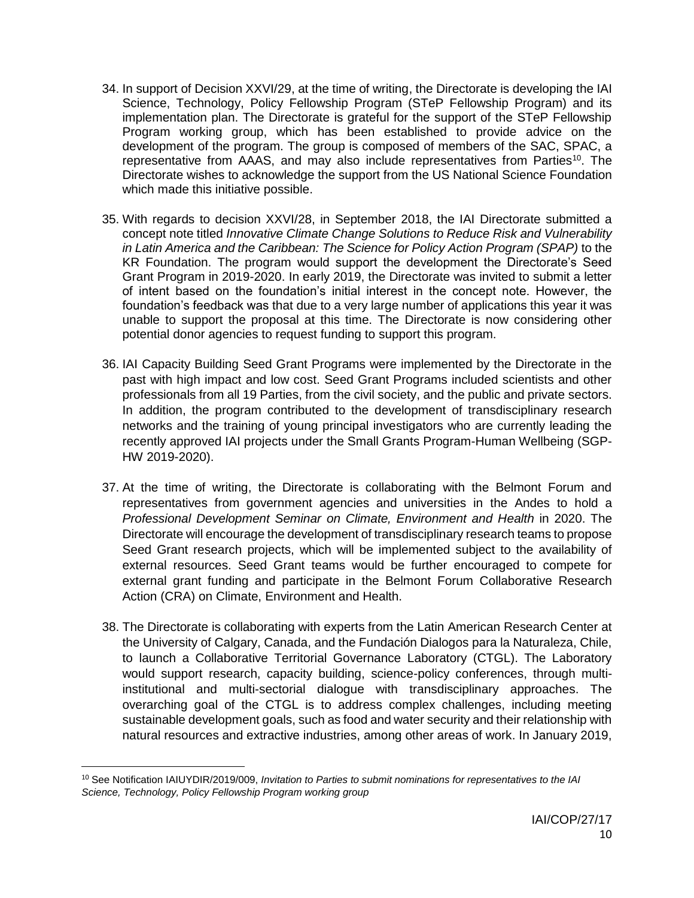- 34. In support of Decision XXVI/29, at the time of writing, the Directorate is developing the IAI Science, Technology, Policy Fellowship Program (STeP Fellowship Program) and its implementation plan. The Directorate is grateful for the support of the STeP Fellowship Program working group, which has been established to provide advice on the development of the program. The group is composed of members of the SAC, SPAC, a representative from AAAS, and may also include representatives from Parties<sup>10</sup>. The Directorate wishes to acknowledge the support from the US National Science Foundation which made this initiative possible.
- 35. With regards to decision XXVI/28, in September 2018, the IAI Directorate submitted a concept note titled *Innovative Climate Change Solutions to Reduce Risk and Vulnerability in Latin America and the Caribbean: The Science for Policy Action Program (SPAP)* to the KR Foundation. The program would support the development the Directorate's Seed Grant Program in 2019-2020. In early 2019, the Directorate was invited to submit a letter of intent based on the foundation's initial interest in the concept note. However, the foundation's feedback was that due to a very large number of applications this year it was unable to support the proposal at this time. The Directorate is now considering other potential donor agencies to request funding to support this program.
- 36. IAI Capacity Building Seed Grant Programs were implemented by the Directorate in the past with high impact and low cost. Seed Grant Programs included scientists and other professionals from all 19 Parties, from the civil society, and the public and private sectors. In addition, the program contributed to the development of transdisciplinary research networks and the training of young principal investigators who are currently leading the recently approved IAI projects under the Small Grants Program-Human Wellbeing (SGP-HW 2019-2020).
- 37. At the time of writing, the Directorate is collaborating with the Belmont Forum and representatives from government agencies and universities in the Andes to hold a *Professional Development Seminar on Climate, Environment and Health* in 2020. The Directorate will encourage the development of transdisciplinary research teams to propose Seed Grant research projects, which will be implemented subject to the availability of external resources. Seed Grant teams would be further encouraged to compete for external grant funding and participate in the Belmont Forum Collaborative Research Action (CRA) on Climate, Environment and Health.
- 38. The Directorate is collaborating with experts from the Latin American Research Center at the University of Calgary, Canada, and the Fundación Dialogos para la Naturaleza, Chile, to launch a Collaborative Territorial Governance Laboratory (CTGL). The Laboratory would support research, capacity building, science-policy conferences, through multiinstitutional and multi-sectorial dialogue with transdisciplinary approaches. The overarching goal of the CTGL is to address complex challenges, including meeting sustainable development goals, such as food and water security and their relationship with natural resources and extractive industries, among other areas of work. In January 2019,

l

<sup>10</sup> See Notification IAIUYDIR/2019/009, *Invitation to Parties to submit nominations for representatives to the IAI Science, Technology, Policy Fellowship Program working group*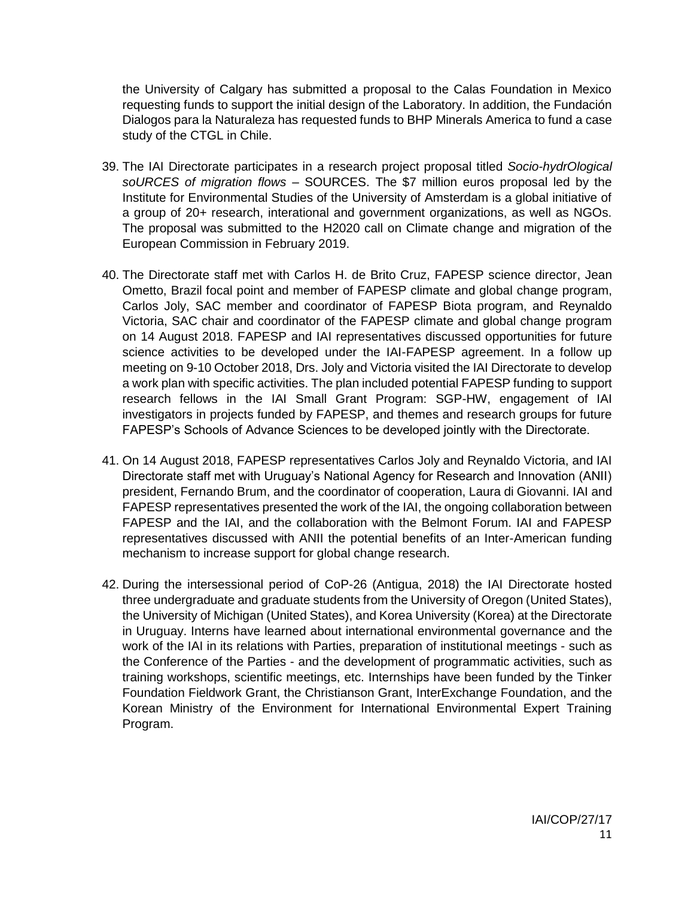the University of Calgary has submitted a proposal to the Calas Foundation in Mexico requesting funds to support the initial design of the Laboratory. In addition, the Fundación Dialogos para la Naturaleza has requested funds to BHP Minerals America to fund a case study of the CTGL in Chile.

- 39. The IAI Directorate participates in a research project proposal titled *Socio-hydrOlogical soURCES of migration flows* – SOURCES. The \$7 million euros proposal led by the Institute for Environmental Studies of the University of Amsterdam is a global initiative of a group of 20+ research, interational and government organizations, as well as NGOs. The proposal was submitted to the H2020 call on Climate change and migration of the European Commission in February 2019.
- 40. The Directorate staff met with Carlos H. de Brito Cruz, FAPESP science director, Jean Ometto, Brazil focal point and member of FAPESP climate and global change program, Carlos Joly, SAC member and coordinator of FAPESP Biota program, and Reynaldo Victoria, SAC chair and coordinator of the FAPESP climate and global change program on 14 August 2018. FAPESP and IAI representatives discussed opportunities for future science activities to be developed under the IAI-FAPESP agreement. In a follow up meeting on 9-10 October 2018, Drs. Joly and Victoria visited the IAI Directorate to develop a work plan with specific activities. The plan included potential FAPESP funding to support research fellows in the IAI Small Grant Program: SGP-HW, engagement of IAI investigators in projects funded by FAPESP, and themes and research groups for future FAPESP's Schools of Advance Sciences to be developed jointly with the Directorate.
- 41. On 14 August 2018, FAPESP representatives Carlos Joly and Reynaldo Victoria, and IAI Directorate staff met with Uruguay's National Agency for Research and Innovation (ANII) president, Fernando Brum, and the coordinator of cooperation, Laura di Giovanni. IAI and FAPESP representatives presented the work of the IAI, the ongoing collaboration between FAPESP and the IAI, and the collaboration with the Belmont Forum. IAI and FAPESP representatives discussed with ANII the potential benefits of an Inter-American funding mechanism to increase support for global change research.
- 42. During the intersessional period of CoP-26 (Antigua, 2018) the IAI Directorate hosted three undergraduate and graduate students from the University of Oregon (United States), the University of Michigan (United States), and Korea University (Korea) at the Directorate in Uruguay. Interns have learned about international environmental governance and the work of the IAI in its relations with Parties, preparation of institutional meetings - such as the Conference of the Parties - and the development of programmatic activities, such as training workshops, scientific meetings, etc. Internships have been funded by the Tinker Foundation Fieldwork Grant, the Christianson Grant, InterExchange Foundation, and the Korean Ministry of the Environment for International Environmental Expert Training Program.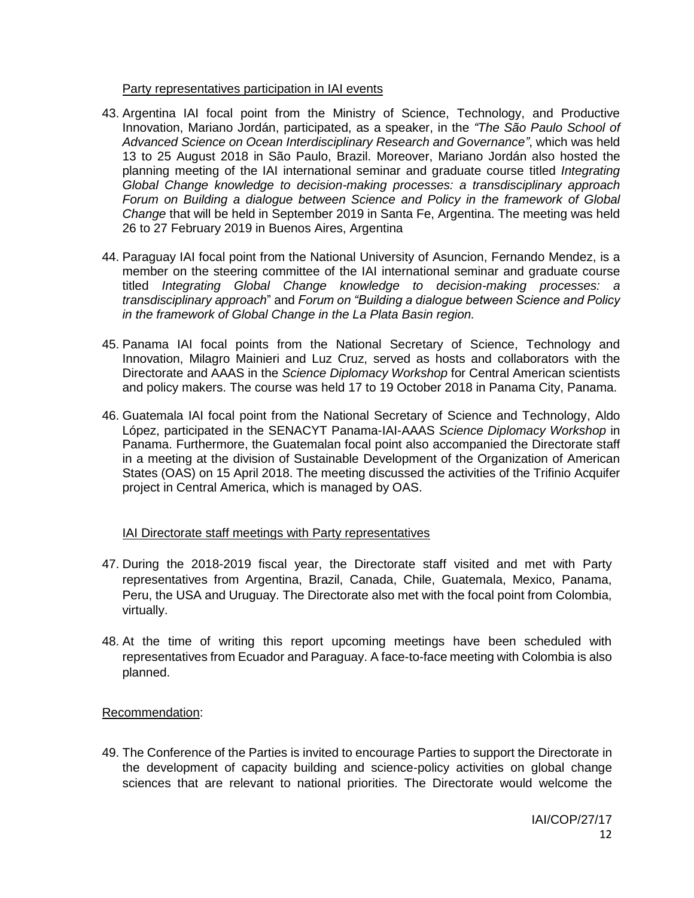#### Party representatives participation in IAI events

- 43. Argentina IAI focal point from the Ministry of Science, Technology, and Productive Innovation, Mariano Jordán, participated, as a speaker, in the *"The São Paulo School of Advanced Science on Ocean Interdisciplinary Research and Governance"*, which was held 13 to 25 August 2018 in São Paulo, Brazil. Moreover, Mariano Jordán also hosted the planning meeting of the IAI international seminar and graduate course titled *Integrating Global Change knowledge to decision-making processes: a transdisciplinary approach Forum on Building a dialogue between Science and Policy in the framework of Global Change* that will be held in September 2019 in Santa Fe, Argentina. The meeting was held 26 to 27 February 2019 in Buenos Aires, Argentina
- 44. Paraguay IAI focal point from the National University of Asuncion, Fernando Mendez, is a member on the steering committee of the IAI international seminar and graduate course titled *Integrating Global Change knowledge to decision-making processes: a transdisciplinary approach*" and *Forum on "Building a dialogue between Science and Policy in the framework of Global Change in the La Plata Basin region.*
- 45. Panama IAI focal points from the National Secretary of Science, Technology and Innovation, Milagro Mainieri and Luz Cruz, served as hosts and collaborators with the Directorate and AAAS in the *Science Diplomacy Workshop* for Central American scientists and policy makers. The course was held 17 to 19 October 2018 in Panama City, Panama.
- 46. Guatemala IAI focal point from the National Secretary of Science and Technology, Aldo López, participated in the SENACYT Panama-IAI-AAAS *Science Diplomacy Workshop* in Panama. Furthermore, the Guatemalan focal point also accompanied the Directorate staff in a meeting at the division of Sustainable Development of the Organization of American States (OAS) on 15 April 2018. The meeting discussed the activities of the Trifinio Acquifer project in Central America, which is managed by OAS.

## IAI Directorate staff meetings with Party representatives

- 47. During the 2018-2019 fiscal year, the Directorate staff visited and met with Party representatives from Argentina, Brazil, Canada, Chile, Guatemala, Mexico, Panama, Peru, the USA and Uruguay. The Directorate also met with the focal point from Colombia, virtually.
- 48. At the time of writing this report upcoming meetings have been scheduled with representatives from Ecuador and Paraguay. A face-to-face meeting with Colombia is also planned.

### Recommendation:

49. The Conference of the Parties is invited to encourage Parties to support the Directorate in the development of capacity building and science-policy activities on global change sciences that are relevant to national priorities. The Directorate would welcome the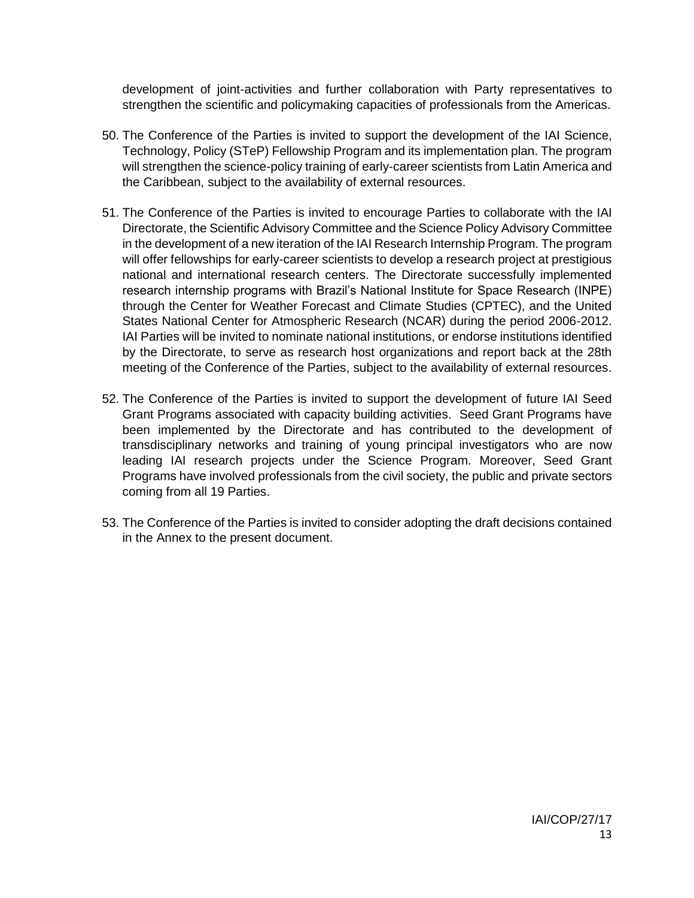development of joint-activities and further collaboration with Party representatives to strengthen the scientific and policymaking capacities of professionals from the Americas.

- 50. The Conference of the Parties is invited to support the development of the IAI Science, Technology, Policy (STeP) Fellowship Program and its implementation plan. The program will strengthen the science-policy training of early-career scientists from Latin America and the Caribbean, subject to the availability of external resources.
- 51. The Conference of the Parties is invited to encourage Parties to collaborate with the IAI Directorate, the Scientific Advisory Committee and the Science Policy Advisory Committee in the development of a new iteration of the IAI Research Internship Program. The program will offer fellowships for early-career scientists to develop a research project at prestigious national and international research centers. The Directorate successfully implemented research internship programs with Brazil's National Institute for Space Research (INPE) through the Center for Weather Forecast and Climate Studies (CPTEC), and the United States National Center for Atmospheric Research (NCAR) during the period 2006-2012. IAI Parties will be invited to nominate national institutions, or endorse institutions identified by the Directorate, to serve as research host organizations and report back at the 28th meeting of the Conference of the Parties, subject to the availability of external resources.
- 52. The Conference of the Parties is invited to support the development of future IAI Seed Grant Programs associated with capacity building activities. Seed Grant Programs have been implemented by the Directorate and has contributed to the development of transdisciplinary networks and training of young principal investigators who are now leading IAI research projects under the Science Program. Moreover, Seed Grant Programs have involved professionals from the civil society, the public and private sectors coming from all 19 Parties.
- 53. The Conference of the Parties is invited to consider adopting the draft decisions contained in the Annex to the present document.